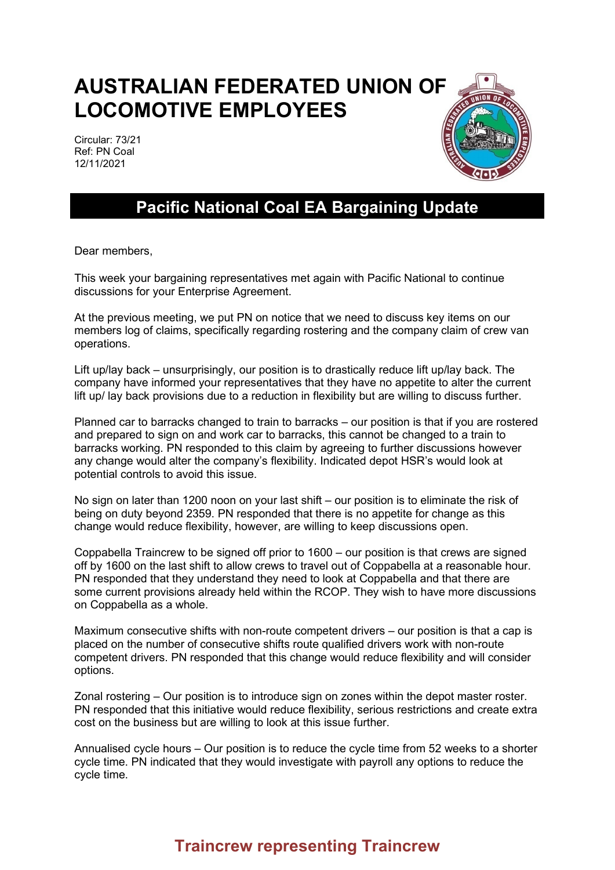## **AUSTRALIAN FEDERATED UNION OF LOCOMOTIVE EMPLOYEES**

Circular: 73/21 Ref: PN Coal 12/11/2021



## **Pacific National Coal EA Bargaining Update**

Dear members,

This week your bargaining representatives met again with Pacific National to continue discussions for your Enterprise Agreement.

At the previous meeting, we put PN on notice that we need to discuss key items on our members log of claims, specifically regarding rostering and the company claim of crew van operations.

Lift up/lay back – unsurprisingly, our position is to drastically reduce lift up/lay back. The company have informed your representatives that they have no appetite to alter the current lift up/ lay back provisions due to a reduction in flexibility but are willing to discuss further.

Planned car to barracks changed to train to barracks – our position is that if you are rostered and prepared to sign on and work car to barracks, this cannot be changed to a train to barracks working. PN responded to this claim by agreeing to further discussions however any change would alter the company's flexibility. Indicated depot HSR's would look at potential controls to avoid this issue.

No sign on later than 1200 noon on your last shift – our position is to eliminate the risk of being on duty beyond 2359. PN responded that there is no appetite for change as this change would reduce flexibility, however, are willing to keep discussions open.

Coppabella Traincrew to be signed off prior to 1600 – our position is that crews are signed off by 1600 on the last shift to allow crews to travel out of Coppabella at a reasonable hour. PN responded that they understand they need to look at Coppabella and that there are some current provisions already held within the RCOP. They wish to have more discussions on Coppabella as a whole.

Maximum consecutive shifts with non-route competent drivers – our position is that a cap is placed on the number of consecutive shifts route qualified drivers work with non-route competent drivers. PN responded that this change would reduce flexibility and will consider options.

Zonal rostering – Our position is to introduce sign on zones within the depot master roster. PN responded that this initiative would reduce flexibility, serious restrictions and create extra cost on the business but are willing to look at this issue further.

Annualised cycle hours – Our position is to reduce the cycle time from 52 weeks to a shorter cycle time. PN indicated that they would investigate with payroll any options to reduce the cycle time.

## **Traincrew representing Traincrew**